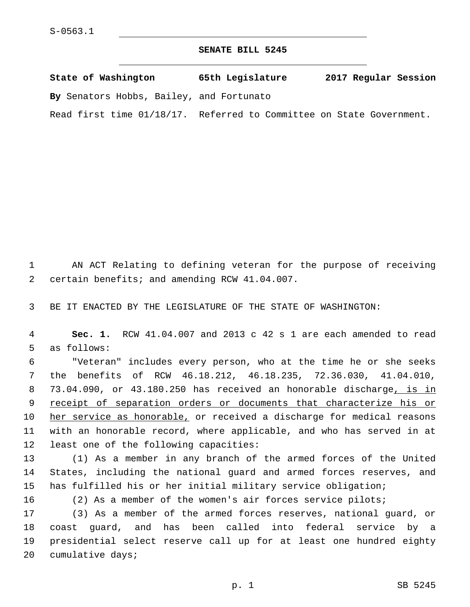## **SENATE BILL 5245**

| State of Washington                                                  | 65th Legislature | 2017 Regular Session |
|----------------------------------------------------------------------|------------------|----------------------|
| By Senators Hobbs, Bailey, and Fortunato                             |                  |                      |
| Read first time 01/18/17. Referred to Committee on State Government. |                  |                      |

1 AN ACT Relating to defining veteran for the purpose of receiving 2 certain benefits; and amending RCW 41.04.007.

3 BE IT ENACTED BY THE LEGISLATURE OF THE STATE OF WASHINGTON:

4 **Sec. 1.** RCW 41.04.007 and 2013 c 42 s 1 are each amended to read 5 as follows:

6 "Veteran" includes every person, who at the time he or she seeks 7 the benefits of RCW 46.18.212, 46.18.235, 72.36.030, 41.04.010, 8 73.04.090, or 43.180.250 has received an honorable discharge, is in 9 receipt of separation orders or documents that characterize his or 10 her service as honorable, or received a discharge for medical reasons 11 with an honorable record, where applicable, and who has served in at 12 least one of the following capacities:

13 (1) As a member in any branch of the armed forces of the United 14 States, including the national guard and armed forces reserves, and 15 has fulfilled his or her initial military service obligation;

 (2) As a member of the women's air forces service pilots; (3) As a member of the armed forces reserves, national guard, or coast guard, and has been called into federal service by a presidential select reserve call up for at least one hundred eighty 20 cumulative days;